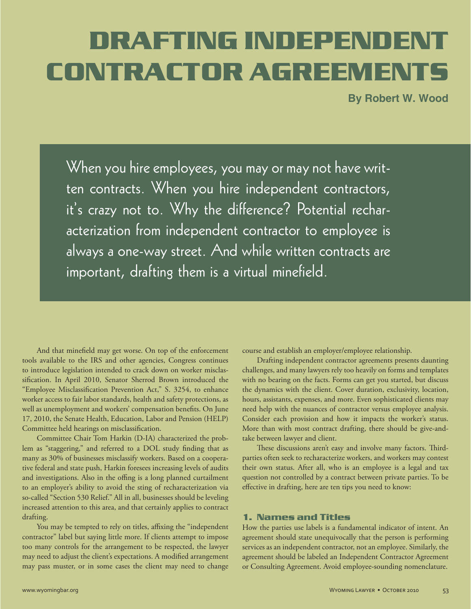# DRAFTING INDEPENDENT **CONTRACTOR AGREEMENTS**

**By Robert W. Wood** 

When you hire employees, you may or may not have written contracts. When you hire independent contractors, it's crazy not to. Why the difference? Potential recharacterization from independent contractor to employee is always a one-way street. And while written contracts are important, drafting them is a virtual minefield.

 And that minefield may get worse. On top of the enforcement tools available to the IRS and other agencies, Congress continues to introduce legislation intended to crack down on worker misclassification. In April 2010, Senator Sherrod Brown introduced the "Employee Misclassification Prevention Act," S. 3254, to enhance worker access to fair labor standards, health and safety protections, as well as unemployment and workers' compensation benefits. On June 17, 2010, the Senate Health, Education, Labor and Pension (HELP) Committee held hearings on misclassification.

 Committee Chair Tom Harkin (D-IA) characterized the problem as "staggering," and referred to a DOL study finding that as many as 30% of businesses misclassify workers. Based on a cooperative federal and state push, Harkin foresees increasing levels of audits and investigations. Also in the offing is a long planned curtailment to an employer's ability to avoid the sting of recharacterization via so-called "Section 530 Relief." All in all, businesses should be leveling increased attention to this area, and that certainly applies to contract drafting.

 You may be tempted to rely on titles, affixing the "independent contractor" label but saying little more. If clients attempt to impose too many controls for the arrangement to be respected, the lawyer may need to adjust the client's expectations. A modified arrangement may pass muster, or in some cases the client may need to change

course and establish an employer/employee relationship.

 Drafting independent contractor agreements presents daunting challenges, and many lawyers rely too heavily on forms and templates with no bearing on the facts. Forms can get you started, but discuss the dynamics with the client. Cover duration, exclusivity, location, hours, assistants, expenses, and more. Even sophisticated clients may need help with the nuances of contractor versus employee analysis. Consider each provision and how it impacts the worker's status. More than with most contract drafting, there should be give-andtake between lawyer and client.

 These discussions aren't easy and involve many factors. Thirdparties often seek to recharacterize workers, and workers may contest their own status. After all, who is an employee is a legal and tax question not controlled by a contract between private parties. To be effective in drafting, here are ten tips you need to know:

## **1. Names and Titles**

How the parties use labels is a fundamental indicator of intent. An agreement should state unequivocally that the person is performing services as an independent contractor, not an employee. Similarly, the agreement should be labeled an Independent Contractor Agreement or Consulting Agreement. Avoid employee-sounding nomenclature.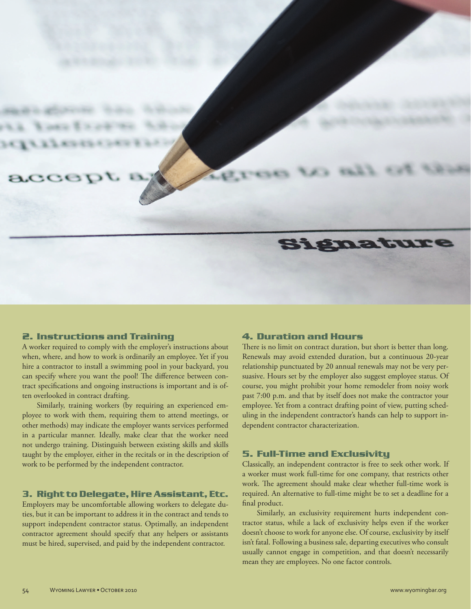

#### **2. Instructions and Training**

A worker required to comply with the employer's instructions about when, where, and how to work is ordinarily an employee. Yet if you hire a contractor to install a swimming pool in your backyard, you can specify where you want the pool! The difference between contract specifications and ongoing instructions is important and is often overlooked in contract drafting.

 Similarly, training workers (by requiring an experienced employee to work with them, requiring them to attend meetings, or other methods) may indicate the employer wants services performed in a particular manner. Ideally, make clear that the worker need not undergo training. Distinguish between existing skills and skills taught by the employer, either in the recitals or in the description of work to be performed by the independent contractor.

# **3. Right to Delegate, Hire Assistant, Etc.**

Employers may be uncomfortable allowing workers to delegate duties, but it can be important to address it in the contract and tends to support independent contractor status. Optimally, an independent contractor agreement should specify that any helpers or assistants must be hired, supervised, and paid by the independent contractor.

#### **4. Duration and Hours**

There is no limit on contract duration, but short is better than long. Renewals may avoid extended duration, but a continuous 20-year relationship punctuated by 20 annual renewals may not be very persuasive. Hours set by the employer also suggest employee status. Of course, you might prohibit your home remodeler from noisy work past 7:00 p.m. and that by itself does not make the contractor your employee. Yet from a contract drafting point of view, putting scheduling in the independent contractor's hands can help to support independent contractor characterization.

## **5. Full-Time and Exclusivity**

Classically, an independent contractor is free to seek other work. If a worker must work full-time for one company, that restricts other work. The agreement should make clear whether full-time work is required. An alternative to full-time might be to set a deadline for a final product.

 Similarly, an exclusivity requirement hurts independent contractor status, while a lack of exclusivity helps even if the worker doesn't choose to work for anyone else. Of course, exclusivity by itself isn't fatal. Following a business sale, departing executives who consult usually cannot engage in competition, and that doesn't necessarily mean they are employees. No one factor controls.